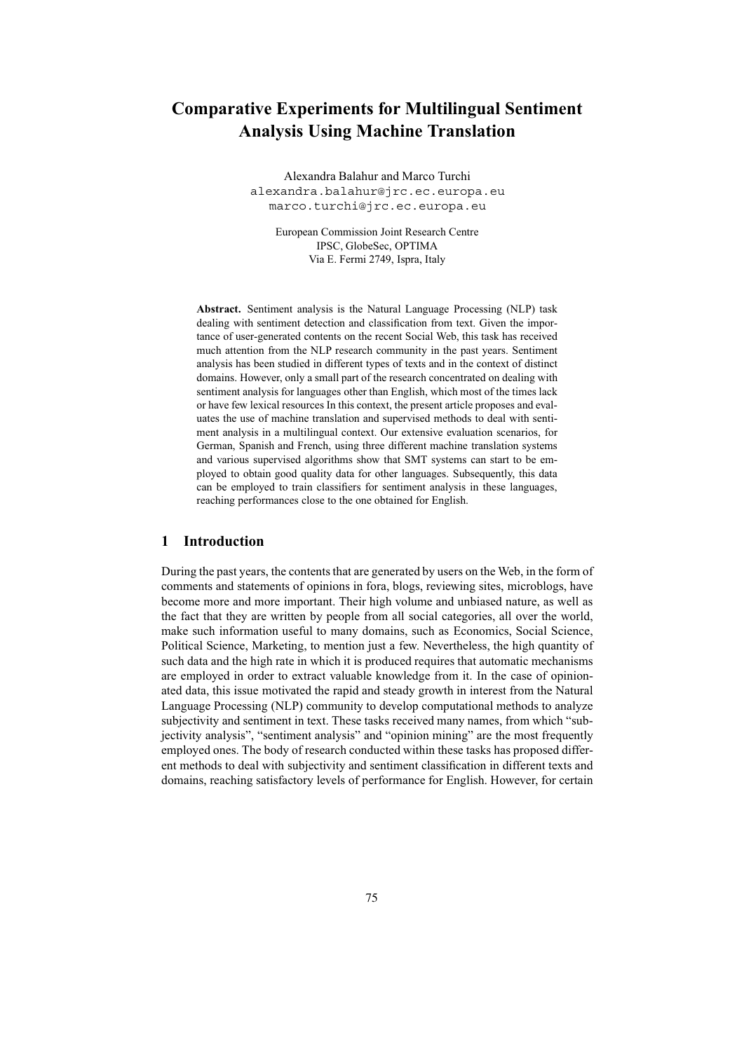# **Comparative Experiments for Multilingual Sentiment Analysis Using Machine Translation**

Alexandra Balahur and Marco Turchi alexandra.balahur@jrc.ec.europa.eu marco.turchi@jrc.ec.europa.eu

European Commission Joint Research Centre IPSC, GlobeSec, OPTIMA Via E. Fermi 2749, Ispra, Italy

**Abstract.** Sentiment analysis is the Natural Language Processing (NLP) task dealing with sentiment detection and classification from text. Given the importance of user-generated contents on the recent Social Web, this task has received much attention from the NLP research community in the past years. Sentiment analysis has been studied in different types of texts and in the context of distinct domains. However, only a small part of the research concentrated on dealing with sentiment analysis for languages other than English, which most of the times lack or have few lexical resources In this context, the present article proposes and evaluates the use of machine translation and supervised methods to deal with sentiment analysis in a multilingual context. Our extensive evaluation scenarios, for German, Spanish and French, using three different machine translation systems and various supervised algorithms show that SMT systems can start to be employed to obtain good quality data for other languages. Subsequently, this data can be employed to train classifiers for sentiment analysis in these languages, reaching performances close to the one obtained for English.

### **1 Introduction**

During the past years, the contents that are generated by users on the Web, in the form of comments and statements of opinions in fora, blogs, reviewing sites, microblogs, have become more and more important. Their high volume and unbiased nature, as well as the fact that they are written by people from all social categories, all over the world, make such information useful to many domains, such as Economics, Social Science, Political Science, Marketing, to mention just a few. Nevertheless, the high quantity of such data and the high rate in which it is produced requires that automatic mechanisms are employed in order to extract valuable knowledge from it. In the case of opinionated data, this issue motivated the rapid and steady growth in interest from the Natural Language Processing (NLP) community to develop computational methods to analyze subjectivity and sentiment in text. These tasks received many names, from which "subjectivity analysis", "sentiment analysis" and "opinion mining" are the most frequently employed ones. The body of research conducted within these tasks has proposed different methods to deal with subjectivity and sentiment classification in different texts and domains, reaching satisfactory levels of performance for English. However, for certain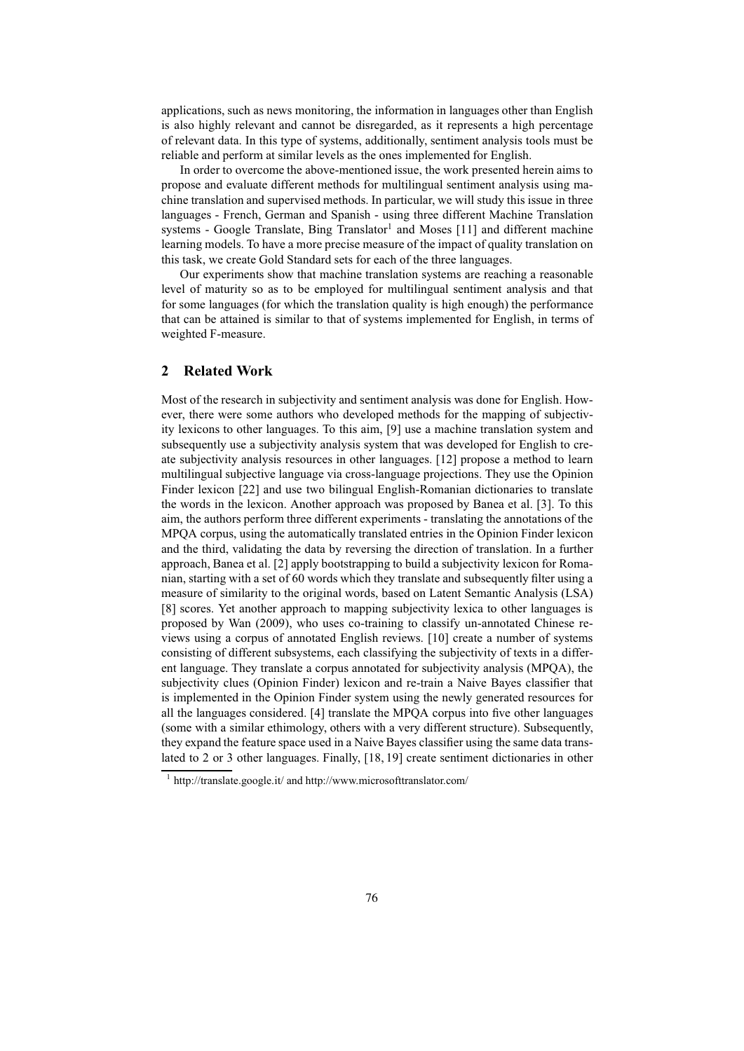applications, such as news monitoring, the information in languages other than English is also highly relevant and cannot be disregarded, as it represents a high percentage of relevant data. In this type of systems, additionally, sentiment analysis tools must be reliable and perform at similar levels as the ones implemented for English.

In order to overcome the above-mentioned issue, the work presented herein aims to propose and evaluate different methods for multilingual sentiment analysis using machine translation and supervised methods. In particular, we will study this issue in three languages - French, German and Spanish - using three different Machine Translation systems - Google Translate, Bing Translator<sup>1</sup> and Moses [11] and different machine learning models. To have a more precise measure of the impact of quality translation on this task, we create Gold Standard sets for each of the three languages.

Our experiments show that machine translation systems are reaching a reasonable level of maturity so as to be employed for multilingual sentiment analysis and that for some languages (for which the translation quality is high enough) the performance that can be attained is similar to that of systems implemented for English, in terms of weighted F-measure.

### **2 Related Work**

Most of the research in subjectivity and sentiment analysis was done for English. However, there were some authors who developed methods for the mapping of subjectivity lexicons to other languages. To this aim, [9] use a machine translation system and subsequently use a subjectivity analysis system that was developed for English to create subjectivity analysis resources in other languages. [12] propose a method to learn multilingual subjective language via cross-language projections. They use the Opinion Finder lexicon [22] and use two bilingual English-Romanian dictionaries to translate the words in the lexicon. Another approach was proposed by Banea et al. [3]. To this aim, the authors perform three different experiments - translating the annotations of the MPQA corpus, using the automatically translated entries in the Opinion Finder lexicon and the third, validating the data by reversing the direction of translation. In a further approach, Banea et al. [2] apply bootstrapping to build a subjectivity lexicon for Romanian, starting with a set of 60 words which they translate and subsequently filter using a measure of similarity to the original words, based on Latent Semantic Analysis (LSA) [8] scores. Yet another approach to mapping subjectivity lexica to other languages is proposed by Wan (2009), who uses co-training to classify un-annotated Chinese reviews using a corpus of annotated English reviews. [10] create a number of systems consisting of different subsystems, each classifying the subjectivity of texts in a different language. They translate a corpus annotated for subjectivity analysis (MPQA), the subjectivity clues (Opinion Finder) lexicon and re-train a Naive Bayes classifier that is implemented in the Opinion Finder system using the newly generated resources for all the languages considered. [4] translate the MPQA corpus into five other languages (some with a similar ethimology, others with a very different structure). Subsequently, they expand the feature space used in a Naive Bayes classifier using the same data translated to 2 or 3 other languages. Finally, [18, 19] create sentiment dictionaries in other

<sup>1</sup> http://translate.google.it/ and http://www.microsofttranslator.com/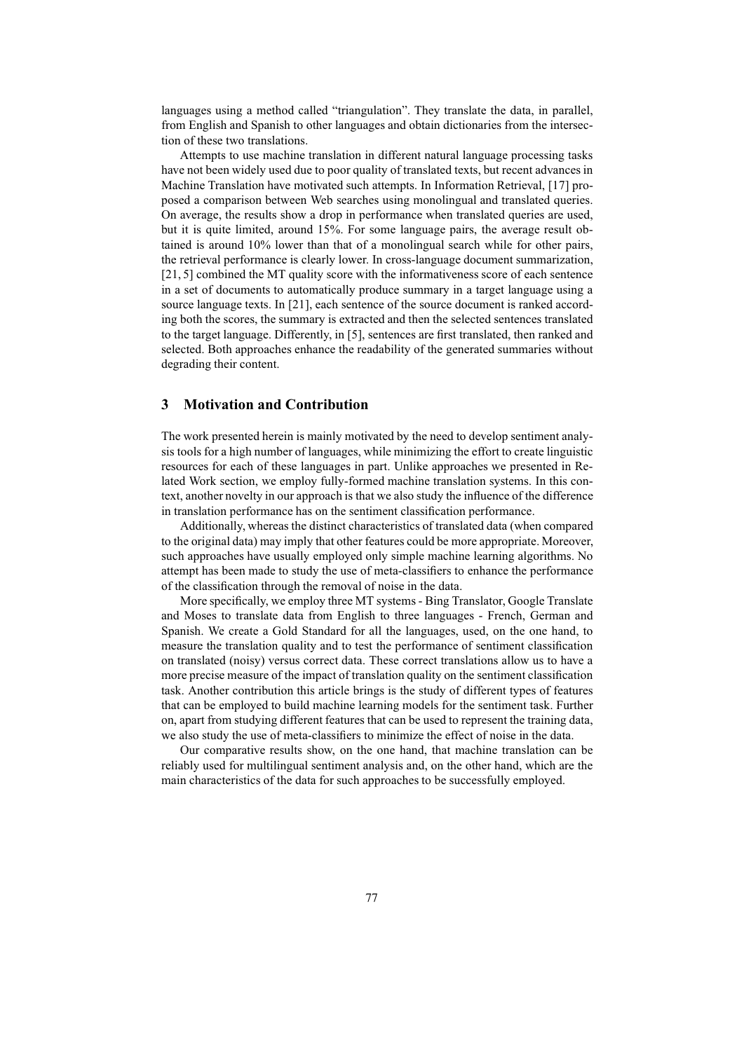languages using a method called "triangulation". They translate the data, in parallel, from English and Spanish to other languages and obtain dictionaries from the intersection of these two translations.

Attempts to use machine translation in different natural language processing tasks have not been widely used due to poor quality of translated texts, but recent advances in Machine Translation have motivated such attempts. In Information Retrieval, [17] proposed a comparison between Web searches using monolingual and translated queries. On average, the results show a drop in performance when translated queries are used, but it is quite limited, around 15%. For some language pairs, the average result obtained is around 10% lower than that of a monolingual search while for other pairs, the retrieval performance is clearly lower. In cross-language document summarization, [21, 5] combined the MT quality score with the informativeness score of each sentence in a set of documents to automatically produce summary in a target language using a source language texts. In [21], each sentence of the source document is ranked according both the scores, the summary is extracted and then the selected sentences translated to the target language. Differently, in [5], sentences are first translated, then ranked and selected. Both approaches enhance the readability of the generated summaries without degrading their content.

## **3 Motivation and Contribution**

The work presented herein is mainly motivated by the need to develop sentiment analysis tools for a high number of languages, while minimizing the effort to create linguistic resources for each of these languages in part. Unlike approaches we presented in Related Work section, we employ fully-formed machine translation systems. In this context, another novelty in our approach is that we also study the influence of the difference in translation performance has on the sentiment classification performance.

Additionally, whereas the distinct characteristics of translated data (when compared to the original data) may imply that other features could be more appropriate. Moreover, such approaches have usually employed only simple machine learning algorithms. No attempt has been made to study the use of meta-classifiers to enhance the performance of the classification through the removal of noise in the data.

More specifically, we employ three MT systems - Bing Translator, Google Translate and Moses to translate data from English to three languages - French, German and Spanish. We create a Gold Standard for all the languages, used, on the one hand, to measure the translation quality and to test the performance of sentiment classification on translated (noisy) versus correct data. These correct translations allow us to have a more precise measure of the impact of translation quality on the sentiment classification task. Another contribution this article brings is the study of different types of features that can be employed to build machine learning models for the sentiment task. Further on, apart from studying different features that can be used to represent the training data, we also study the use of meta-classifiers to minimize the effect of noise in the data.

Our comparative results show, on the one hand, that machine translation can be reliably used for multilingual sentiment analysis and, on the other hand, which are the main characteristics of the data for such approaches to be successfully employed.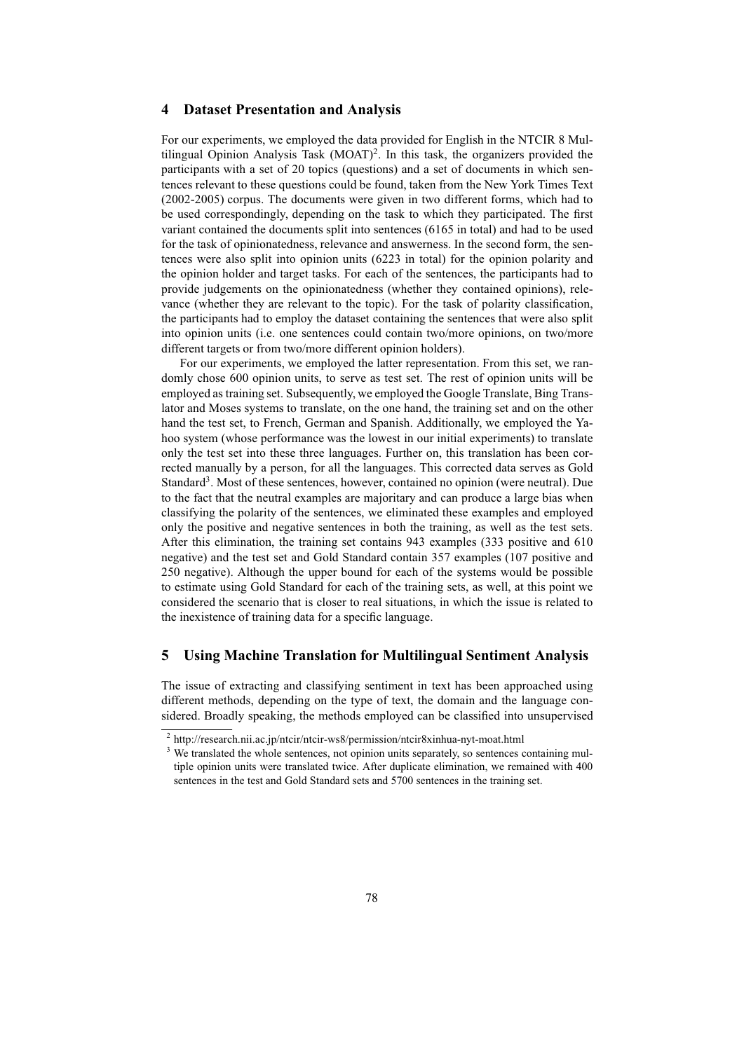#### **4 Dataset Presentation and Analysis**

For our experiments, we employed the data provided for English in the NTCIR 8 Multilingual Opinion Analysis Task (MOAT)<sup>2</sup>. In this task, the organizers provided the participants with a set of 20 topics (questions) and a set of documents in which sentences relevant to these questions could be found, taken from the New York Times Text (2002-2005) corpus. The documents were given in two different forms, which had to be used correspondingly, depending on the task to which they participated. The first variant contained the documents split into sentences (6165 in total) and had to be used for the task of opinionatedness, relevance and answerness. In the second form, the sentences were also split into opinion units (6223 in total) for the opinion polarity and the opinion holder and target tasks. For each of the sentences, the participants had to provide judgements on the opinionatedness (whether they contained opinions), relevance (whether they are relevant to the topic). For the task of polarity classification, the participants had to employ the dataset containing the sentences that were also split into opinion units (i.e. one sentences could contain two/more opinions, on two/more different targets or from two/more different opinion holders).

For our experiments, we employed the latter representation. From this set, we randomly chose 600 opinion units, to serve as test set. The rest of opinion units will be employed as training set. Subsequently, we employed the Google Translate, Bing Translator and Moses systems to translate, on the one hand, the training set and on the other hand the test set, to French, German and Spanish. Additionally, we employed the Yahoo system (whose performance was the lowest in our initial experiments) to translate only the test set into these three languages. Further on, this translation has been corrected manually by a person, for all the languages. This corrected data serves as Gold Standard<sup>3</sup>. Most of these sentences, however, contained no opinion (were neutral). Due to the fact that the neutral examples are majoritary and can produce a large bias when classifying the polarity of the sentences, we eliminated these examples and employed only the positive and negative sentences in both the training, as well as the test sets. After this elimination, the training set contains 943 examples (333 positive and 610 negative) and the test set and Gold Standard contain 357 examples (107 positive and 250 negative). Although the upper bound for each of the systems would be possible to estimate using Gold Standard for each of the training sets, as well, at this point we considered the scenario that is closer to real situations, in which the issue is related to the inexistence of training data for a specific language.

## **5 Using Machine Translation for Multilingual Sentiment Analysis**

The issue of extracting and classifying sentiment in text has been approached using different methods, depending on the type of text, the domain and the language considered. Broadly speaking, the methods employed can be classified into unsupervised

<sup>&</sup>lt;sup>2</sup> http://research.nii.ac.jp/ntcir/ntcir-ws8/permission/ntcir8xinhua-nyt-moat.html

<sup>&</sup>lt;sup>3</sup> We translated the whole sentences, not opinion units separately, so sentences containing multiple opinion units were translated twice. After duplicate elimination, we remained with 400 sentences in the test and Gold Standard sets and 5700 sentences in the training set.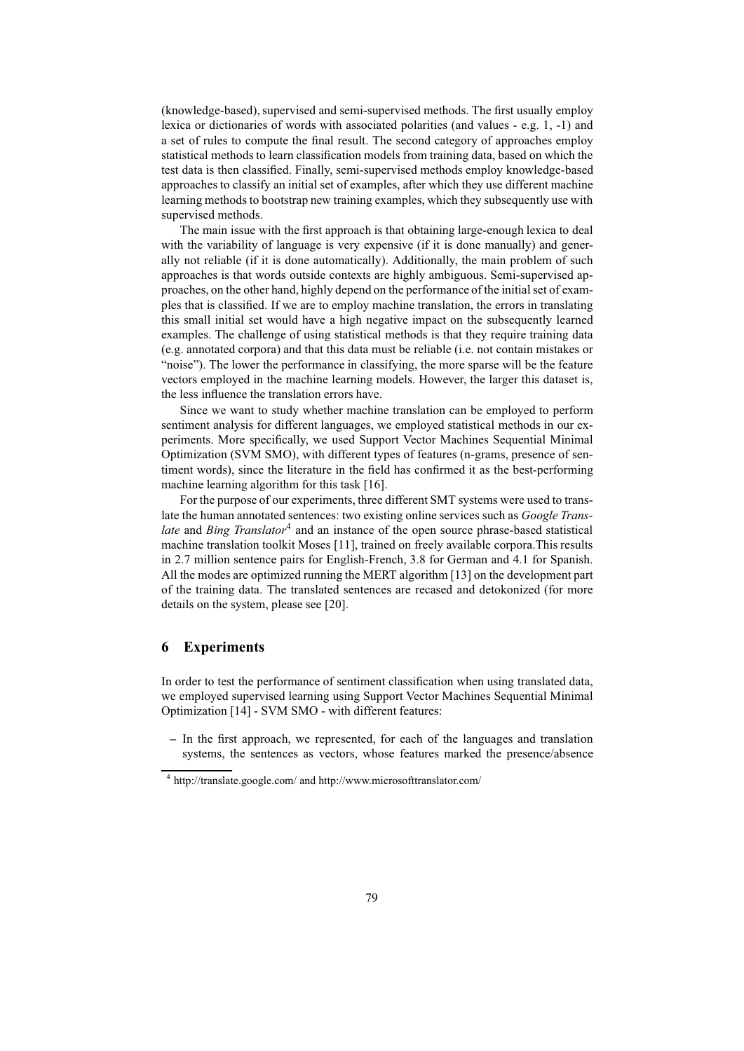(knowledge-based), supervised and semi-supervised methods. The first usually employ lexica or dictionaries of words with associated polarities (and values - e.g. 1, -1) and a set of rules to compute the final result. The second category of approaches employ statistical methods to learn classification models from training data, based on which the test data is then classified. Finally, semi-supervised methods employ knowledge-based approaches to classify an initial set of examples, after which they use different machine learning methods to bootstrap new training examples, which they subsequently use with supervised methods.

The main issue with the first approach is that obtaining large-enough lexica to deal with the variability of language is very expensive (if it is done manually) and generally not reliable (if it is done automatically). Additionally, the main problem of such approaches is that words outside contexts are highly ambiguous. Semi-supervised approaches, on the other hand, highly depend on the performance of the initial set of examples that is classified. If we are to employ machine translation, the errors in translating this small initial set would have a high negative impact on the subsequently learned examples. The challenge of using statistical methods is that they require training data (e.g. annotated corpora) and that this data must be reliable (i.e. not contain mistakes or "noise"). The lower the performance in classifying, the more sparse will be the feature vectors employed in the machine learning models. However, the larger this dataset is, the less influence the translation errors have.

Since we want to study whether machine translation can be employed to perform sentiment analysis for different languages, we employed statistical methods in our experiments. More specifically, we used Support Vector Machines Sequential Minimal Optimization (SVM SMO), with different types of features (n-grams, presence of sentiment words), since the literature in the field has confirmed it as the best-performing machine learning algorithm for this task [16].

For the purpose of our experiments, three different SMT systems were used to translate the human annotated sentences: two existing online services such as *Google Trans*late and Bing Translator<sup>4</sup> and an instance of the open source phrase-based statistical machine translation toolkit Moses [11], trained on freely available corpora.This results in 2.7 million sentence pairs for English-French, 3.8 for German and 4.1 for Spanish. All the modes are optimized running the MERT algorithm [13] on the development part of the training data. The translated sentences are recased and detokonized (for more details on the system, please see [20].

### **6 Experiments**

In order to test the performance of sentiment classification when using translated data, we employed supervised learning using Support Vector Machines Sequential Minimal Optimization [14] - SVM SMO - with different features:

**–** In the first approach, we represented, for each of the languages and translation systems, the sentences as vectors, whose features marked the presence/absence

<sup>4</sup> http://translate.google.com/ and http://www.microsofttranslator.com/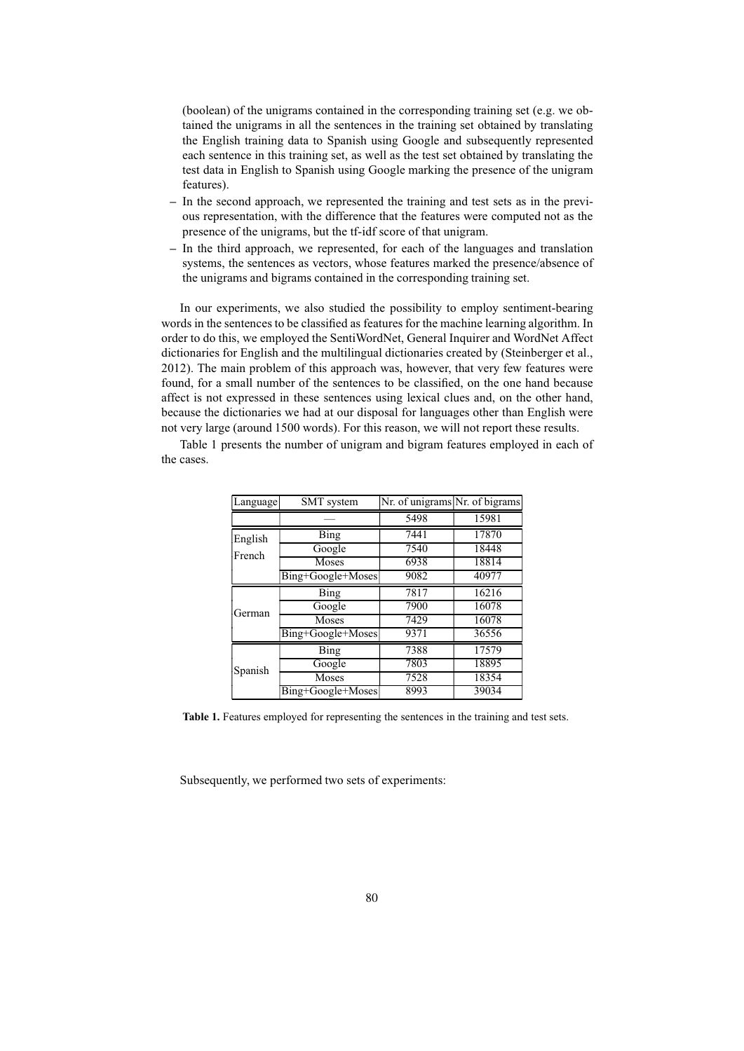(boolean) of the unigrams contained in the corresponding training set (e.g. we obtained the unigrams in all the sentences in the training set obtained by translating the English training data to Spanish using Google and subsequently represented each sentence in this training set, as well as the test set obtained by translating the test data in English to Spanish using Google marking the presence of the unigram features).

- **–** In the second approach, we represented the training and test sets as in the previous representation, with the difference that the features were computed not as the presence of the unigrams, but the tf-idf score of that unigram.
- **–** In the third approach, we represented, for each of the languages and translation systems, the sentences as vectors, whose features marked the presence/absence of the unigrams and bigrams contained in the corresponding training set.

In our experiments, we also studied the possibility to employ sentiment-bearing words in the sentences to be classified as features for the machine learning algorithm. In order to do this, we employed the SentiWordNet, General Inquirer and WordNet Affect dictionaries for English and the multilingual dictionaries created by (Steinberger et al., 2012). The main problem of this approach was, however, that very few features were found, for a small number of the sentences to be classified, on the one hand because affect is not expressed in these sentences using lexical clues and, on the other hand, because the dictionaries we had at our disposal for languages other than English were not very large (around 1500 words). For this reason, we will not report these results.

Table 1 presents the number of unigram and bigram features employed in each of the cases.

| Language | SMT system        | Nr. of unigrams Nr. of bigrams |       |  |
|----------|-------------------|--------------------------------|-------|--|
|          |                   | 5498                           | 15981 |  |
| English  | <b>Bing</b>       | 7441                           | 17870 |  |
| French   | Google            | 7540                           | 18448 |  |
|          | <b>Moses</b>      | 6938                           | 18814 |  |
|          | Bing+Google+Moses | 9082                           | 40977 |  |
|          | Bing              | 7817                           | 16216 |  |
| German   | Google            | 7900                           | 16078 |  |
|          | <b>Moses</b>      | 7429                           | 16078 |  |
|          | Bing+Google+Moses | 9371                           | 36556 |  |
| Spanish  | Bing              | 7388                           | 17579 |  |
|          | Google            | 7803                           | 18895 |  |
|          | Moses             | 7528                           | 18354 |  |
|          | Bing+Google+Moses | 8993                           | 39034 |  |

**Table 1.** Features employed for representing the sentences in the training and test sets.

Subsequently, we performed two sets of experiments: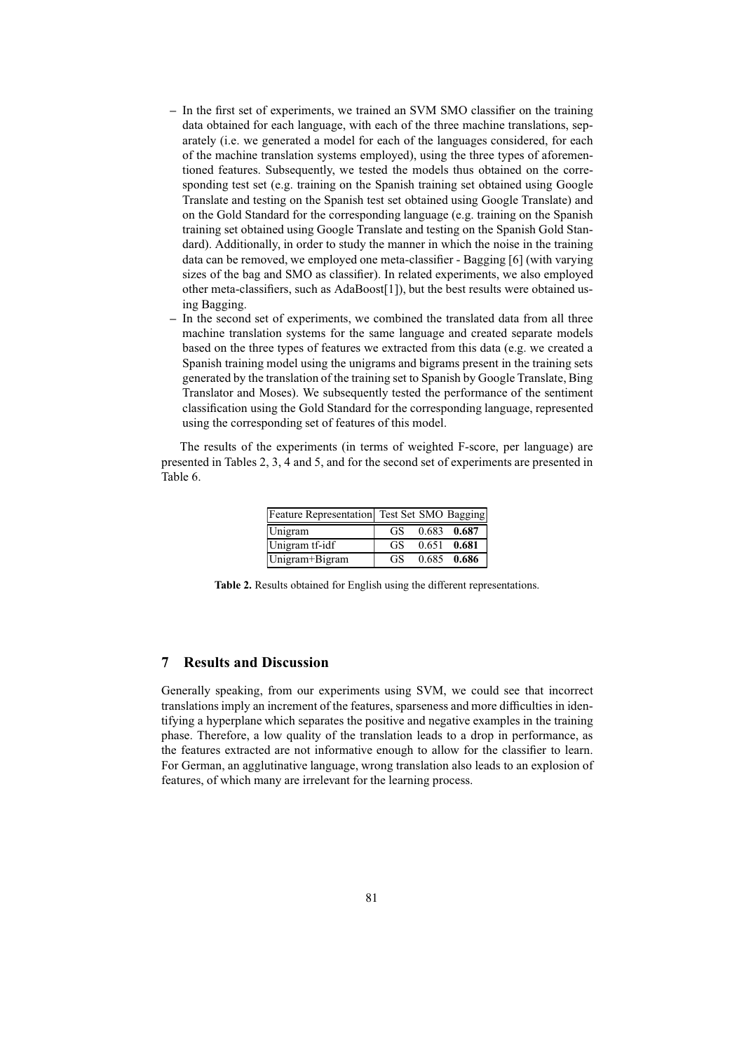- **–** In the first set of experiments, we trained an SVM SMO classifier on the training data obtained for each language, with each of the three machine translations, separately (i.e. we generated a model for each of the languages considered, for each of the machine translation systems employed), using the three types of aforementioned features. Subsequently, we tested the models thus obtained on the corresponding test set (e.g. training on the Spanish training set obtained using Google Translate and testing on the Spanish test set obtained using Google Translate) and on the Gold Standard for the corresponding language (e.g. training on the Spanish training set obtained using Google Translate and testing on the Spanish Gold Standard). Additionally, in order to study the manner in which the noise in the training data can be removed, we employed one meta-classifier - Bagging [6] (with varying sizes of the bag and SMO as classifier). In related experiments, we also employed other meta-classifiers, such as AdaBoost[1]), but the best results were obtained using Bagging.
- **–** In the second set of experiments, we combined the translated data from all three machine translation systems for the same language and created separate models based on the three types of features we extracted from this data (e.g. we created a Spanish training model using the unigrams and bigrams present in the training sets generated by the translation of the training set to Spanish by Google Translate, Bing Translator and Moses). We subsequently tested the performance of the sentiment classification using the Gold Standard for the corresponding language, represented using the corresponding set of features of this model.

The results of the experiments (in terms of weighted F-score, per language) are presented in Tables 2, 3, 4 and 5, and for the second set of experiments are presented in Table 6.

| Feature Representation Test Set SMO Bagging |     |               |
|---------------------------------------------|-----|---------------|
| Unigram                                     | GS. | 0.683 0.687   |
| Unigram tf-idf                              | GS. | $0.651$ 0.681 |
| Unigram+Bigram                              | GS. | $0.685$ 0.686 |

**Table 2.** Results obtained for English using the different representations.

## **7 Results and Discussion**

Generally speaking, from our experiments using SVM, we could see that incorrect translations imply an increment of the features, sparseness and more difficulties in identifying a hyperplane which separates the positive and negative examples in the training phase. Therefore, a low quality of the translation leads to a drop in performance, as the features extracted are not informative enough to allow for the classifier to learn. For German, an agglutinative language, wrong translation also leads to an explosion of features, of which many are irrelevant for the learning process.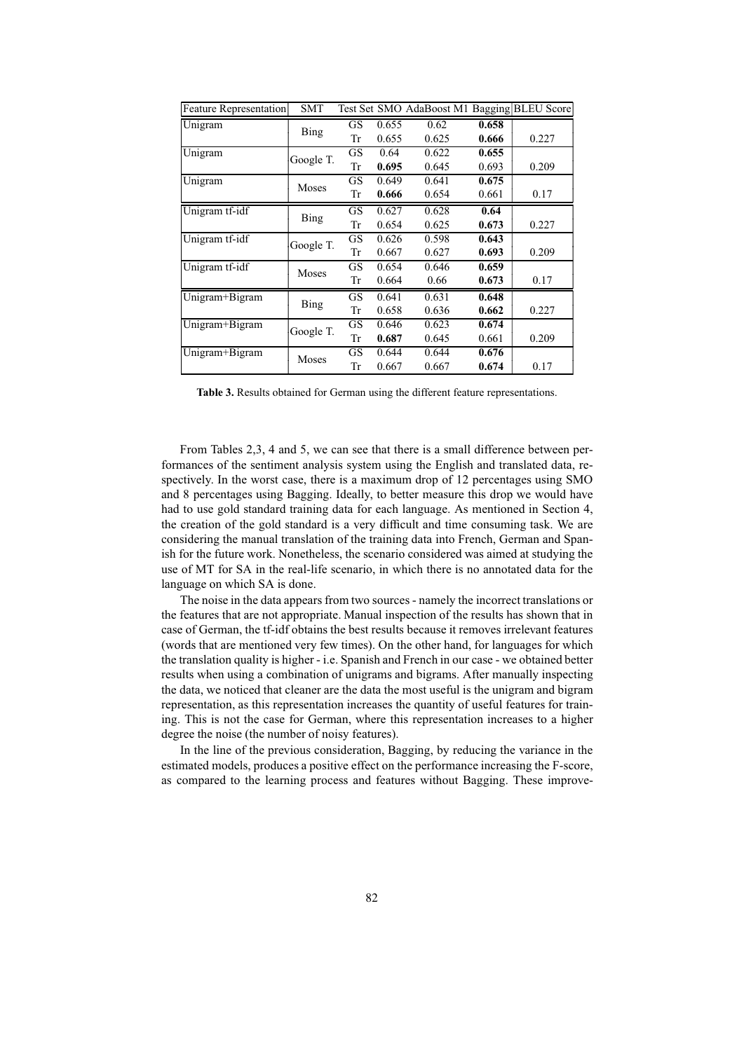| <b>Feature Representation</b> | <b>SMT</b>  |           |       | Test Set SMO AdaBoost M1 Bagging |       | <b>BLEU Score</b> |
|-------------------------------|-------------|-----------|-------|----------------------------------|-------|-------------------|
| Unigram                       |             | GS        | 0.655 | 0.62                             | 0.658 |                   |
|                               | Bing        | Tr        | 0.655 | 0.625                            | 0.666 | 0.227             |
| Unigram                       | Google T.   | GS        | 0.64  | 0.622                            | 0.655 |                   |
|                               |             | Tr        | 0.695 | 0.645                            | 0.693 | 0.209             |
| Unigram                       | Moses       | <b>GS</b> | 0.649 | 0.641                            | 0.675 |                   |
|                               |             | Tr        | 0.666 | 0.654                            | 0.661 | 0.17              |
| Unigram tf-idf                |             | GS        | 0.627 | 0.628                            | 0.64  |                   |
|                               | <b>Bing</b> | Tr        | 0.654 | 0.625                            | 0.673 | 0.227             |
| Unigram tf-idf                | Google T.   | GS        | 0.626 | 0.598                            | 0.643 |                   |
|                               |             | Tr        | 0.667 | 0.627                            | 0.693 | 0.209             |
| Unigram tf-idf                | Moses       | GS        | 0.654 | 0.646                            | 0.659 |                   |
|                               |             | Tr        | 0.664 | 0.66                             | 0.673 | 0.17              |
| Unigram+Bigram                | <b>Bing</b> | GS        | 0.641 | 0.631                            | 0.648 |                   |
|                               |             | Tr        | 0.658 | 0.636                            | 0.662 | 0.227             |
| Unigram+Bigram                |             | GS        | 0.646 | 0.623                            | 0.674 |                   |
|                               | Google T.   | Tr        | 0.687 | 0.645                            | 0.661 | 0.209             |
| Unigram+Bigram                | Moses       | GS        | 0.644 | 0.644                            | 0.676 |                   |
|                               |             | Tr        | 0.667 | 0.667                            | 0.674 | 0.17              |

**Table 3.** Results obtained for German using the different feature representations.

From Tables 2,3, 4 and 5, we can see that there is a small difference between performances of the sentiment analysis system using the English and translated data, respectively. In the worst case, there is a maximum drop of 12 percentages using SMO and 8 percentages using Bagging. Ideally, to better measure this drop we would have had to use gold standard training data for each language. As mentioned in Section 4, the creation of the gold standard is a very difficult and time consuming task. We are considering the manual translation of the training data into French, German and Spanish for the future work. Nonetheless, the scenario considered was aimed at studying the use of MT for SA in the real-life scenario, in which there is no annotated data for the language on which SA is done.

The noise in the data appears from two sources - namely the incorrect translations or the features that are not appropriate. Manual inspection of the results has shown that in case of German, the tf-idf obtains the best results because it removes irrelevant features (words that are mentioned very few times). On the other hand, for languages for which the translation quality is higher - i.e. Spanish and French in our case - we obtained better results when using a combination of unigrams and bigrams. After manually inspecting the data, we noticed that cleaner are the data the most useful is the unigram and bigram representation, as this representation increases the quantity of useful features for training. This is not the case for German, where this representation increases to a higher degree the noise (the number of noisy features).

In the line of the previous consideration, Bagging, by reducing the variance in the estimated models, produces a positive effect on the performance increasing the F-score, as compared to the learning process and features without Bagging. These improve-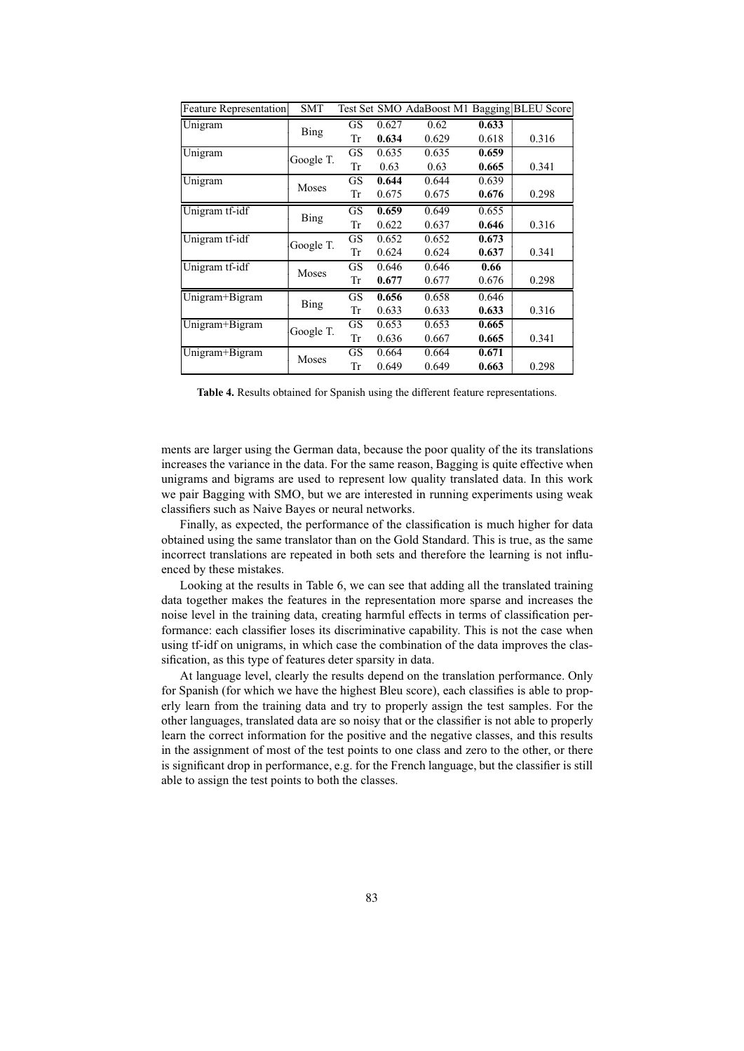| <b>Feature Representation</b> | <b>SMT</b>  |           |       | Test Set SMO AdaBoost M1 Bagging |       | <b>BLEU</b> Score |
|-------------------------------|-------------|-----------|-------|----------------------------------|-------|-------------------|
| Unigram                       |             | GS        | 0.627 | 0.62                             | 0.633 |                   |
|                               | Bing        | Tr        | 0.634 | 0.629                            | 0.618 | 0.316             |
| Unigram                       | Google T.   | GS        | 0.635 | 0.635                            | 0.659 |                   |
|                               |             | Tr        | 0.63  | 0.63                             | 0.665 | 0.341             |
| Unigram                       |             | GS        | 0.644 | 0.644                            | 0.639 |                   |
|                               | Moses       | Tr        | 0.675 | 0.675                            | 0.676 | 0.298             |
| Unigram tf-idf                | <b>Bing</b> | <b>GS</b> | 0.659 | 0.649                            | 0.655 |                   |
|                               |             | Tr        | 0.622 | 0.637                            | 0.646 | 0.316             |
| Unigram tf-idf                | Google T.   | GS        | 0.652 | 0.652                            | 0.673 |                   |
|                               |             | Tr        | 0.624 | 0.624                            | 0.637 | 0.341             |
| Unigram tf-idf                | Moses       | GS        | 0.646 | 0.646                            | 0.66  |                   |
|                               |             | Tr        | 0.677 | 0.677                            | 0.676 | 0.298             |
| Unigram+Bigram                |             | GS        | 0.656 | 0.658                            | 0.646 |                   |
|                               | <b>Bing</b> | Tr        | 0.633 | 0.633                            | 0.633 | 0.316             |
| Unigram+Bigram                | Google T.   | GS        | 0.653 | 0.653                            | 0.665 |                   |
|                               |             | Tr        | 0.636 | 0.667                            | 0.665 | 0.341             |
| Unigram+Bigram                | Moses       | <b>GS</b> | 0.664 | 0.664                            | 0.671 |                   |
|                               |             | Tr        | 0.649 | 0.649                            | 0.663 | 0.298             |

**Table 4.** Results obtained for Spanish using the different feature representations.

ments are larger using the German data, because the poor quality of the its translations increases the variance in the data. For the same reason, Bagging is quite effective when unigrams and bigrams are used to represent low quality translated data. In this work we pair Bagging with SMO, but we are interested in running experiments using weak classifiers such as Naive Bayes or neural networks.

Finally, as expected, the performance of the classification is much higher for data obtained using the same translator than on the Gold Standard. This is true, as the same incorrect translations are repeated in both sets and therefore the learning is not influenced by these mistakes.

Looking at the results in Table 6, we can see that adding all the translated training data together makes the features in the representation more sparse and increases the noise level in the training data, creating harmful effects in terms of classification performance: each classifier loses its discriminative capability. This is not the case when using tf-idf on unigrams, in which case the combination of the data improves the classification, as this type of features deter sparsity in data.

At language level, clearly the results depend on the translation performance. Only for Spanish (for which we have the highest Bleu score), each classifies is able to properly learn from the training data and try to properly assign the test samples. For the other languages, translated data are so noisy that or the classifier is not able to properly learn the correct information for the positive and the negative classes, and this results in the assignment of most of the test points to one class and zero to the other, or there is significant drop in performance, e.g. for the French language, but the classifier is still able to assign the test points to both the classes.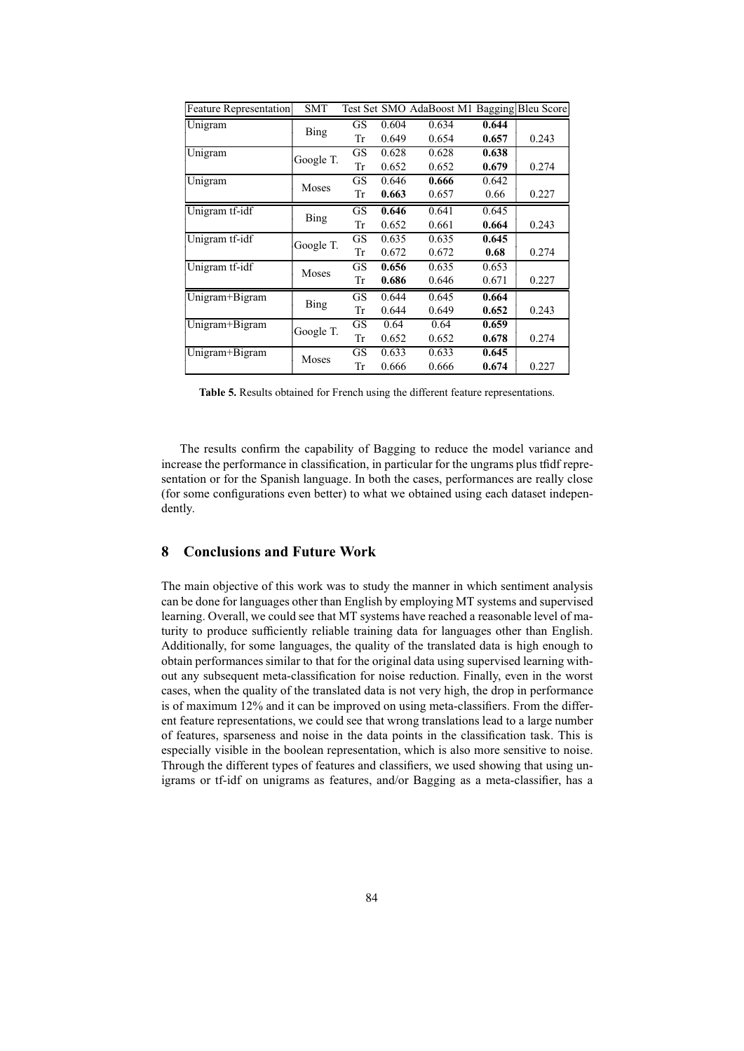| <b>Feature Representation</b> | <b>SMT</b>  |    |       | Test Set SMO AdaBoost M1 Bagging Bleu Score |       |       |
|-------------------------------|-------------|----|-------|---------------------------------------------|-------|-------|
| Unigram                       |             | GS | 0.604 | 0.634                                       | 0.644 |       |
|                               | Bing        | Tr | 0.649 | 0.654                                       | 0.657 | 0.243 |
| Unigram                       | Google T.   | GS | 0.628 | 0.628                                       | 0.638 |       |
|                               |             | Tr | 0.652 | 0.652                                       | 0.679 | 0.274 |
| Unigram                       | Moses       | GS | 0.646 | 0.666                                       | 0.642 |       |
|                               |             | Tr | 0.663 | 0.657                                       | 0.66  | 0.227 |
| Unigram tf-idf                | <b>Bing</b> | GS | 0.646 | 0.641                                       | 0.645 |       |
|                               |             | Tr | 0.652 | 0.661                                       | 0.664 | 0.243 |
| Unigram tf-idf                | Google T.   | GS | 0.635 | 0.635                                       | 0.645 |       |
|                               |             | Tr | 0.672 | 0.672                                       | 0.68  | 0.274 |
| Unigram tf-idf                |             | GS | 0.656 | 0.635                                       | 0.653 |       |
|                               | Moses       | Tr | 0.686 | 0.646                                       | 0.671 | 0.227 |
| Unigram+Bigram                |             | GS | 0.644 | 0.645                                       | 0.664 |       |
|                               | <b>Bing</b> | Tr | 0.644 | 0.649                                       | 0.652 | 0.243 |
| Unigram+Bigram                | Google T.   | GS | 0.64  | 0.64                                        | 0.659 |       |
|                               |             | Tr | 0.652 | 0.652                                       | 0.678 | 0.274 |
| Unigram+Bigram                | Moses       | GS | 0.633 | 0.633                                       | 0.645 |       |
|                               |             | Tr | 0.666 | 0.666                                       | 0.674 | 0.227 |

**Table 5.** Results obtained for French using the different feature representations.

The results confirm the capability of Bagging to reduce the model variance and increase the performance in classification, in particular for the ungrams plus tfidf representation or for the Spanish language. In both the cases, performances are really close (for some configurations even better) to what we obtained using each dataset independently.

## **8 Conclusions and Future Work**

The main objective of this work was to study the manner in which sentiment analysis can be done for languages other than English by employing MT systems and supervised learning. Overall, we could see that MT systems have reached a reasonable level of maturity to produce sufficiently reliable training data for languages other than English. Additionally, for some languages, the quality of the translated data is high enough to obtain performances similar to that for the original data using supervised learning without any subsequent meta-classification for noise reduction. Finally, even in the worst cases, when the quality of the translated data is not very high, the drop in performance is of maximum 12% and it can be improved on using meta-classifiers. From the different feature representations, we could see that wrong translations lead to a large number of features, sparseness and noise in the data points in the classification task. This is especially visible in the boolean representation, which is also more sensitive to noise. Through the different types of features and classifiers, we used showing that using unigrams or tf-idf on unigrams as features, and/or Bagging as a meta-classifier, has a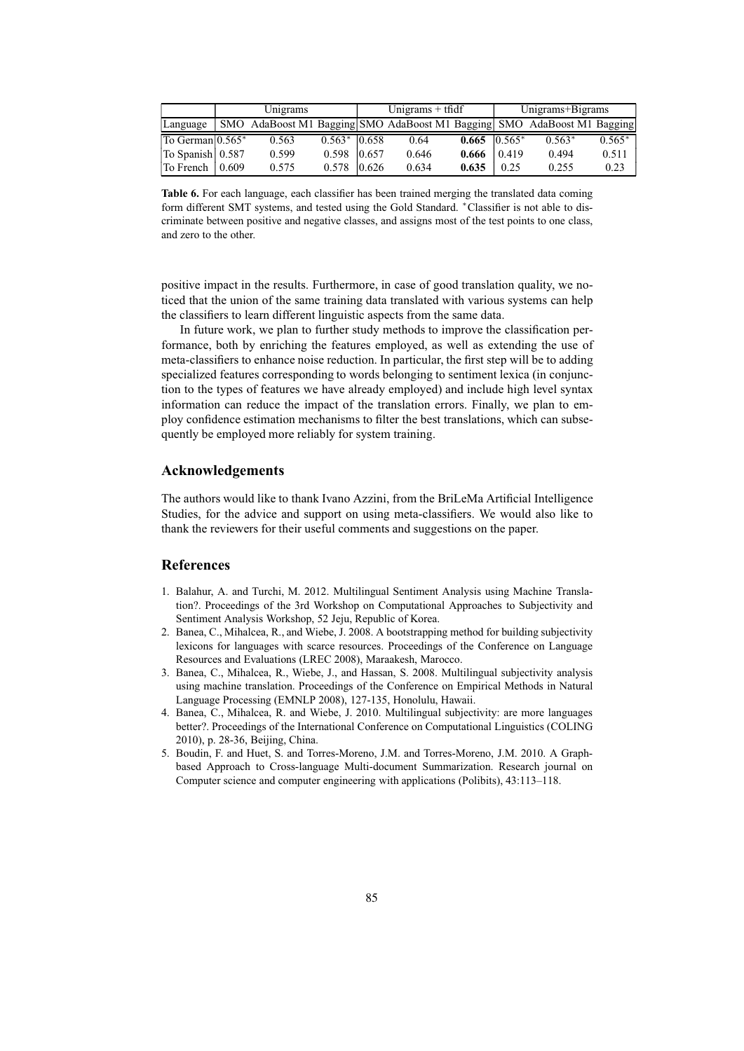|                               | Unigrams |       |                | Unigrams $+$ tfidf |       |                       | Unigrams+Bigrams |                                                                         |          |
|-------------------------------|----------|-------|----------------|--------------------|-------|-----------------------|------------------|-------------------------------------------------------------------------|----------|
| Language                      |          |       |                |                    |       |                       |                  | SMO AdaBoost M1 Bagging SMO AdaBoost M1 Bagging SMO AdaBoost M1 Bagging |          |
| To German 0.565*              |          | 0.563 | $0.563* 0.658$ |                    | 0.64  | $0.665 \quad 0.565^*$ |                  | $0.563*$                                                                | $0.565*$ |
| To Spanish 0.587              |          | 0.599 | 0.598          | 0.657              | 0.646 | 0.666                 | 0.419            | 0.494                                                                   | 0.511    |
| To French $\vert 0.609 \vert$ |          | 0.575 | 0.578          | 0.626              | 0.634 | 0.635                 | 0.25             | 0.255                                                                   | 0.23     |

**Table 6.** For each language, each classifier has been trained merging the translated data coming form different SMT systems, and tested using the Gold Standard. \*Classifier is not able to discriminate between positive and negative classes, and assigns most of the test points to one class, and zero to the other.

positive impact in the results. Furthermore, in case of good translation quality, we noticed that the union of the same training data translated with various systems can help the classifiers to learn different linguistic aspects from the same data.

In future work, we plan to further study methods to improve the classification performance, both by enriching the features employed, as well as extending the use of meta-classifiers to enhance noise reduction. In particular, the first step will be to adding specialized features corresponding to words belonging to sentiment lexica (in conjunction to the types of features we have already employed) and include high level syntax information can reduce the impact of the translation errors. Finally, we plan to employ confidence estimation mechanisms to filter the best translations, which can subsequently be employed more reliably for system training.

## **Acknowledgements**

The authors would like to thank Ivano Azzini, from the BriLeMa Artificial Intelligence Studies, for the advice and support on using meta-classifiers. We would also like to thank the reviewers for their useful comments and suggestions on the paper.

## **References**

- 1. Balahur, A. and Turchi, M. 2012. Multilingual Sentiment Analysis using Machine Translation?. Proceedings of the 3rd Workshop on Computational Approaches to Subjectivity and Sentiment Analysis Workshop, 52 Jeju, Republic of Korea.
- 2. Banea, C., Mihalcea, R., and Wiebe, J. 2008. A bootstrapping method for building subjectivity lexicons for languages with scarce resources. Proceedings of the Conference on Language Resources and Evaluations (LREC 2008), Maraakesh, Marocco.
- 3. Banea, C., Mihalcea, R., Wiebe, J., and Hassan, S. 2008. Multilingual subjectivity analysis using machine translation. Proceedings of the Conference on Empirical Methods in Natural Language Processing (EMNLP 2008), 127-135, Honolulu, Hawaii.
- 4. Banea, C., Mihalcea, R. and Wiebe, J. 2010. Multilingual subjectivity: are more languages better?. Proceedings of the International Conference on Computational Linguistics (COLING 2010), p. 28-36, Beijing, China.
- 5. Boudin, F. and Huet, S. and Torres-Moreno, J.M. and Torres-Moreno, J.M. 2010. A Graphbased Approach to Cross-language Multi-document Summarization. Research journal on Computer science and computer engineering with applications (Polibits), 43:113–118.